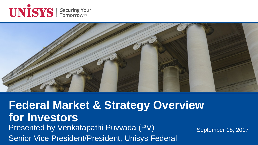



### **Federal Market & Strategy Overview for Investors** Presented by Venkatapathi Puvvada (PV) Senior Vice President/President, Unisys Federal

September 18, 2017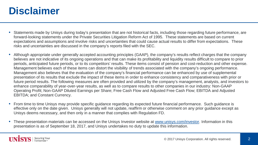### **Disclaimer**

- Statements made by Unisys during today's presentation that are not historical facts, including those regarding future performance, are forward-looking statements under the Private Securities Litigation Reform Act of 1995. These statements are based on current expectations and assumptions and involve risks and uncertainties that could cause actual results to differ from expectations. These risks and uncertainties are discussed in the company's reports filed with the SEC.
- Although appropriate under generally accepted accounting principles (GAAP), the company's results reflect charges that the company believes are not indicative of its ongoing operations and that can make its profitability and liquidity results difficult to compare to prior periods, anticipated future periods, or to its competitors' results. These items consist of pension and cost-reduction and other expense. Management believes each of these items can distort the visibility of trends associated with the company's ongoing performance. Management also believes that the evaluation of the company's financial performance can be enhanced by use of supplemental presentation of its results that exclude the impact of these items in order to enhance consistency and comparativeness with prior or future period results. The following measures are often provided and utilized by the company's management, analysts, and investors to enhance comparability of year-over-year results, as well as to compare results to other companies in our industry: Non-GAAP Operating Profit; Non-GAAP Diluted Earnings per Share; Free Cash Flow and Adjusted Free Cash Flow; EBITDA and Adjusted EBITDA; and Constant Currency.
- From time to time Unisys may provide specific guidance regarding its expected future financial performance. Such guidance is effective only on the date given. Unisys generally will not update, reaffirm or otherwise comment on any prior guidance except as Unisys deems necessary, and then only in a manner that complies with Regulation FD.
- These presentation materials can be accessed on the Unisys Investor website at [www.unisys.com/investor.](http://www.unisys.com/investor) Information in this presentation is as of September 18, 2017, and Unisys undertakes no duty to update this information.

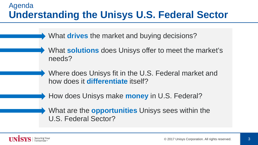#### Agenda **Understanding the Unisys U.S. Federal Sector**

What **drives** the market and buying decisions?

What **solutions** does Unisys offer to meet the market's needs?

Where does Unisys fit in the U.S. Federal market and how does it **differentiate** itself?

How does Unisys make **money** in U.S. Federal?

What are the **opportunities** Unisys sees within the U.S. Federal Sector?

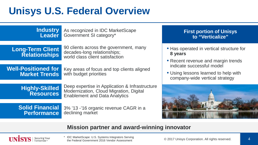# **Unisys U.S. Federal Overview**

#### **Industry Leader**

As recognized in IDC MarketScape Government SI category\*

**Long-Term Client Relationships**

90 clients across the government, many decades-long relationships; world class client satisfaction

**Well-Positioned for Market Trends**

Key areas of focus and top clients aligned with budget priorities

**Highly-Skilled Resources** Deep expertise in Application & Infrastructure Modernization, Cloud Migration, Digital Enablement and Data Analytics

**Solid Financial Performance** 3% '13 -'16 organic revenue CAGR in a declining market

#### **First portion of Unisys to "Verticalize"**

- Has operated in vertical structure for **8 years**
- Recent revenue and margin trends indicate successful model
- Using lessons learned to help with company-wide vertical strategy



#### **Mission partner and award-winning innovator**



IDC MarketScape: U.S. Systems Integrators Serving the Federal Government 2016 Vendor Assessment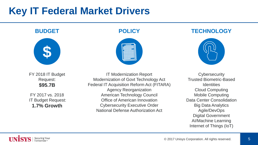## **Key IT Federal Market Drivers**

#### **BUDGET**



FY 2018 IT Budget Request: **\$95.7B**

FY 2017 vs. 2018 IT Budget Request: **1.7% Growth**



**POLICY TECHNOLOGY**



IT Modernization Report Modernization of Govt Technology Act Federal IT Acquisition Reform Act (FITARA) Agency Reorganization American Technology Council Office of American Innovation Cybersecurity Executive Order National Defense Authorization Act

**Cybersecurity** Trusted Biometric-Based **Identities** Cloud Computing Mobile Computing Data Center Consolidation Big Data Analytics Agile/DevOps Digital Government AI/Machine Learning Internet of Things (IoT)

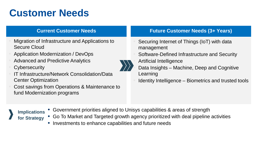# **Customer Needs**

#### **Current Customer Needs**

- Migration of Infrastructure and Applications to Secure Cloud
- Application Modernization / DevOps
- Advanced and Predictive Analytics
- **Cybersecurity**
- IT Infrastructure/Network Consolidation/Data Center Optimization
- Cost savings from Operations & Maintenance to fund Modernization programs

#### **Future Customer Needs (3+ Years)**

- Securing Internet of Things (IoT) with data management
- Software-Defined Infrastructure and Security
- Artificial Intelligence
	- Data Insights Machine, Deep and Cognitive Learning
- Identity Intelligence Biometrics and trusted tools

- **Implications for Strategy**
- Government priorities aligned to Unisys capabilities & areas of strength
- Go To Market and Targeted growth agency prioritized with deal pipeline activities
- Investments to enhance capabilities and future needs

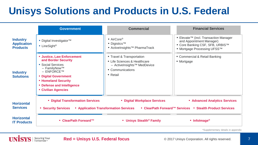# **Unisys Solutions and Products in U.S. Federal**

|                                                          | <b>Government</b>                                                                                                                                                                                                               | <b>Commercial</b>                                                                                                                    | <b>Financial Services</b>                                                                                                                                     |
|----------------------------------------------------------|---------------------------------------------------------------------------------------------------------------------------------------------------------------------------------------------------------------------------------|--------------------------------------------------------------------------------------------------------------------------------------|---------------------------------------------------------------------------------------------------------------------------------------------------------------|
| <b>Industry</b><br><b>Application</b><br><b>Products</b> | • Digital Investigator <sup>TM</sup><br>• LineSight <sup>®</sup>                                                                                                                                                                | • AirCore®<br>• Digistics <sup>TM</sup><br>● ActiveInsights <sup>™</sup> PharmaTrack                                                 | ● Elevate <sup>™</sup> (incl. Transaction Manager<br>and Appointment Manager)<br>● Core Banking CSF, SFB, URBISTM<br>● Mortgage Processing UFSS <sup>TM</sup> |
| <b>Industry</b><br><b>Solutions</b>                      | • Justice, Law Enforcement<br>and Border Security<br>• Social Services<br>$-$ FamilyNow <sup>TM</sup><br>$-$ ENFORCETM<br>• Digital Government<br>• Homeland Security<br><b>Defense and Intelligence</b><br>• Civilian Agencies | • Travel & Transportation<br>• Life Sciences & Healthcare<br>- ActiveInsights <sup>™</sup> MedDevice<br>• Communications<br>• Retail | • Commercial & Retail Banking<br>• Mortgage                                                                                                                   |
| <b>Horizontal</b><br><b>Services</b>                     | • Digital Transformation Services<br>• Digital Workplace Services<br>• Advanced Analytics Services<br>• ClearPath Forward™ Services • Stealth Product Services<br>• Application Transformation Services<br>• Security Services  |                                                                                                                                      |                                                                                                                                                               |
| <b>Horizontal</b><br><b>IT Products</b>                  | ● ClearPath Forward™                                                                                                                                                                                                            | • Unisys Stealth <sup>®</sup> Family                                                                                                 | • Infolmage <sup>®</sup>                                                                                                                                      |

Securing Your Tomorrown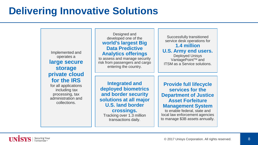## **Delivering Innovative Solutions**



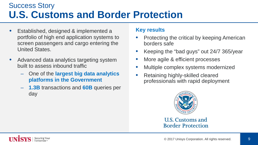### Success Story **U.S. Customs and Border Protection**

- Established, designed & implemented a portfolio of high end application systems to screen passengers and cargo entering the United States.
- Advanced data analytics targeting system built to assess inbound traffic
	- One of the **largest big data analytics platforms in the Government**
	- **1.3B** transactions and **60B** queries per day

#### **Key results**

- Protecting the critical by keeping American borders safe
- Keeping the "bad guys" out 24/7 365/year
- More agile & efficient processes
- Multiple complex systems modernized
- Retaining highly-skilled cleared professionals with rapid deployment



U.S. Customs and **Border Protection** 

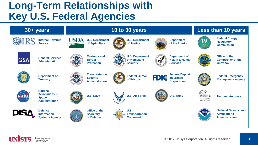## **Long-Term Relationships with Key U.S. Federal Agencies**



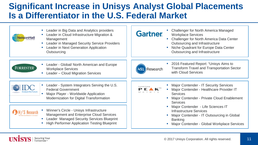### **Significant Increase in Unisys Analyst Global Placements Is a Differentiator in the U.S. Federal Market**

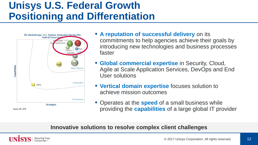## **Unisys U.S. Federal Growth Positioning and Differentiation**



- **A reputation of successful delivery** on its commitments to help agencies achieve their goals by introducing new technologies and business processes faster
- **Global commercial expertise** in Security, Cloud, Agile at Scale Application Services, DevOps and End User solutions
- **Vertical domain expertise** focuses solution to achieve mission outcomes
- Operates at the **speed** of a small business while providing the **capabilities** of a large global IT provider

#### **Innovative solutions to resolve complex client challenges**

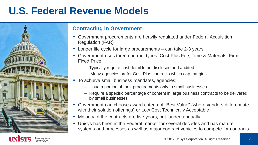## **U.S. Federal Revenue Models**



#### **Contracting in Government**

- Government procurements are heavily regulated under Federal Acquisition Regulation (FAR)
- Longer life cycle for large procurements can take 2-3 years
- Government uses three contract types: Cost Plus Fee, Time & Materials, Firm Fixed Price
	- Typically require cost detail to be disclosed and audited
	- Many agencies prefer Cost Plus contracts which cap margins
- To achieve small business mandates, agencies:
	- Issue a portion of their procurements only to small businesses
	- Require a specific percentage of content in large business contracts to be delivered by small businesses
- Government can choose award criteria of "Best Value" (where vendors differentiate with their solution offerings) or Low Cost Technically Acceptable
- Majority of the contracts are five years, but funded annually
- Unisys has been in the Federal market for several decades and has mature systems and processes as well as major contract vehicles to compete for contracts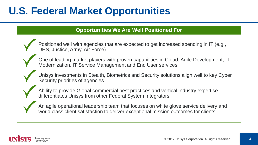# **U.S. Federal Market Opportunities**

#### **Opportunities We Are Well Positioned For**

Positioned well with agencies that are expected to get increased spending in IT (e.g., DHS, Justice, Army, Air Force)

One of leading market players with proven capabilities in Cloud, Agile Development, IT Modernization, IT Service Management and End User services

Unisys investments in Stealth, Biometrics and Security solutions align well to key Cyber Security priorities of agencies

Ability to provide Global commercial best practices and vertical industry expertise differentiates Unisys from other Federal System Integrators

An agile operational leadership team that focuses on white glove service delivery and world class client satisfaction to deliver exceptional mission outcomes for clients